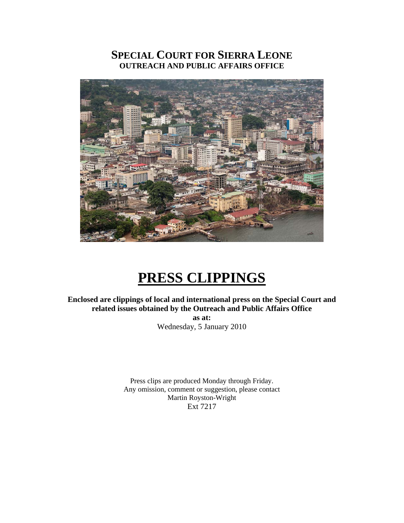# **SPECIAL COURT FOR SIERRA LEONE OUTREACH AND PUBLIC AFFAIRS OFFICE**



# **PRESS CLIPPINGS**

**Enclosed are clippings of local and international press on the Special Court and related issues obtained by the Outreach and Public Affairs Office** 

> **as at:**  Wednesday, 5 January 2010

Press clips are produced Monday through Friday. Any omission, comment or suggestion, please contact Martin Royston-Wright Ext 7217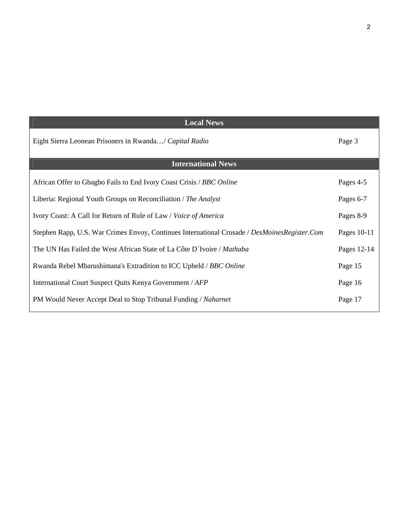| Page 3      |
|-------------|
|             |
| Pages 4-5   |
| Pages 6-7   |
| Pages 8-9   |
| Pages 10-11 |
| Pages 12-14 |
| Page 15     |
| Page 16     |
| Page 17     |
|             |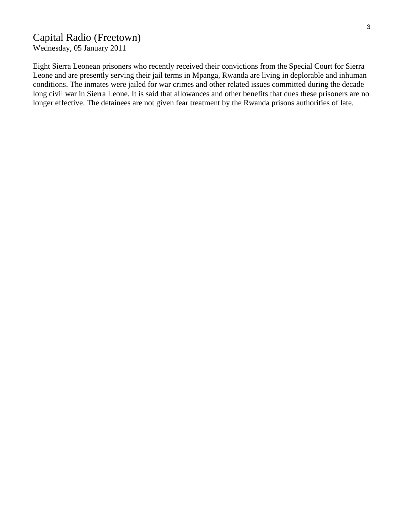# Capital Radio (Freetown)

Wednesday, 05 January 2011

Eight Sierra Leonean prisoners who recently received their convictions from the Special Court for Sierra Leone and are presently serving their jail terms in Mpanga, Rwanda are living in deplorable and inhuman conditions. The inmates were jailed for war crimes and other related issues committed during the decade long civil war in Sierra Leone. It is said that allowances and other benefits that dues these prisoners are no longer effective. The detainees are not given fear treatment by the Rwanda prisons authorities of late.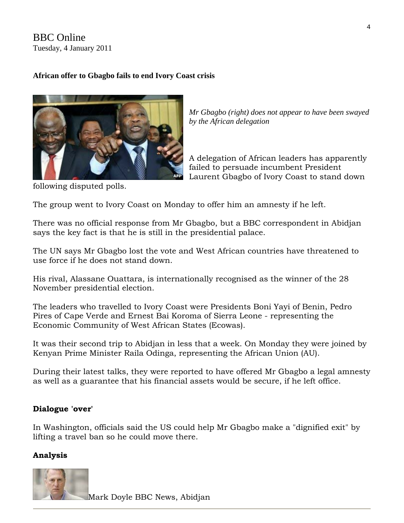BBC Online Tuesday, 4 January 2011

## **African offer to Gbagbo fails to end Ivory Coast crisis**



*Mr Gbagbo (right) does not appear to have been swayed by the African delegation* 

A delegation of African leaders has apparently failed to persuade incumbent President Laurent Gbagbo of Ivory Coast to stand down

following disputed polls.

The group went to Ivory Coast on Monday to offer him an amnesty if he left.

There was no official response from Mr Gbagbo, but a BBC correspondent in Abidjan says the key fact is that he is still in the presidential palace.

The UN says Mr Gbagbo lost the vote and West African countries have [threatened to](http://news.ecowas.int/presseshow.php?nb=192&lang=en&annee=2010)  [use force](http://news.ecowas.int/presseshow.php?nb=192&lang=en&annee=2010) if he does not stand down.

His rival, Alassane Ouattara, is internationally recognised as the winner of the 28 November presidential election.

The leaders who travelled to Ivory Coast were Presidents Boni Yayi of Benin, Pedro Pires of Cape Verde and Ernest Bai Koroma of Sierra Leone - representing the Economic Community of West African States (Ecowas).

It was their second trip to Abidjan in less that a week. On Monday they were joined by Kenyan Prime Minister Raila Odinga, representing the African Union (AU).

During their latest talks, they were reported to have offered Mr Gbagbo a legal amnesty as well as a guarantee that his financial assets would be secure, if he left office.

## **Dialogue 'over'**

In Washington, officials said the US could help Mr Gbagbo make a "dignified exit" by lifting a travel ban so he could move there.

## **Analysis**



Mark Doyle BBC News, Abidjan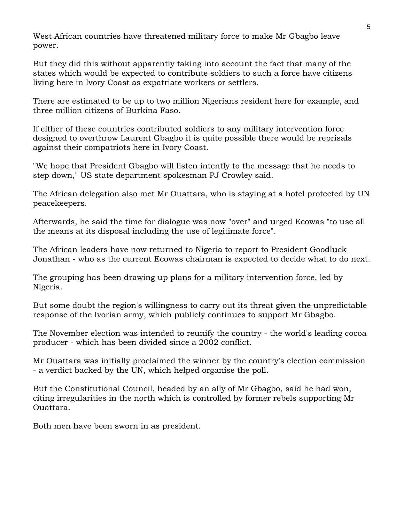West African countries have threatened military force to make Mr Gbagbo leave power.

But they did this without apparently taking into account the fact that many of the states which would be expected to contribute soldiers to such a force have citizens living here in Ivory Coast as expatriate workers or settlers.

There are estimated to be up to two million Nigerians resident here for example, and three million citizens of Burkina Faso.

If either of these countries contributed soldiers to any military intervention force designed to overthrow Laurent Gbagbo it is quite possible there would be reprisals against their compatriots here in Ivory Coast.

"We hope that President Gbagbo will listen intently to the message that he needs to step down," US state department spokesman PJ Crowley said.

The African delegation also met Mr Ouattara, who is staying at a hotel protected by UN peacekeepers.

Afterwards, he said the time for dialogue was now "over" and urged Ecowas "to use all the means at its disposal including the use of legitimate force".

The African leaders have now returned to Nigeria to report to President Goodluck Jonathan - who as the current Ecowas chairman is expected to decide what to do next.

The grouping has been drawing up plans for a military intervention force, led by Nigeria.

But some doubt the region's willingness to carry out its threat given the unpredictable response of the Ivorian army, which publicly continues to support Mr Gbagbo.

The November election was intended to reunify the country - the world's leading cocoa producer - which has been divided since a 2002 conflict.

Mr Ouattara was initially proclaimed the winner by the country's election commission - a verdict backed by the UN, which helped organise the poll.

But the Constitutional Council, headed by an ally of Mr Gbagbo, said he had won, citing irregularities in the north which is controlled by former rebels supporting Mr Ouattara.

Both men have been sworn in as president.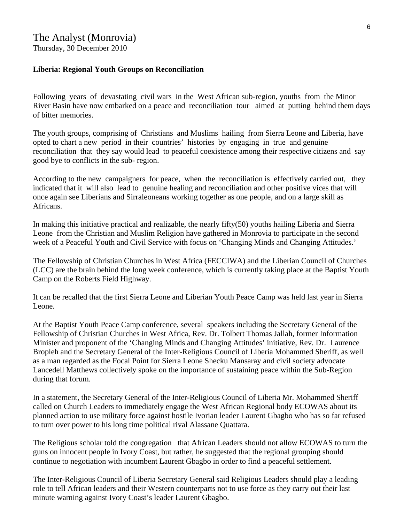## The Analyst (Monrovia)

Thursday, 30 December 2010

#### **Liberia: Regional Youth Groups on Reconciliation**

Following years of devastating civil wars in the West African sub-region, youths from the Minor River Basin have now embarked on a peace and reconciliation tour aimed at putting behind them days of bitter memories.

The youth groups, comprising of Christians and Muslims hailing from Sierra Leone and Liberia, have opted to chart a new period in their countries' histories by engaging in true and genuine reconciliation that they say would lead to peaceful coexistence among their respective citizens and say good bye to conflicts in the sub- region.

According to the new campaigners for peace, when the reconciliation is effectively carried out, they indicated that it will also lead to genuine healing and reconciliation and other positive vices that will once again see Liberians and Sirraleoneans working together as one people, and on a large skill as Africans.

In making this initiative practical and realizable, the nearly fifty(50) youths hailing Liberia and Sierra Leone from the Christian and Muslim Religion have gathered in Monrovia to participate in the second week of a Peaceful Youth and Civil Service with focus on 'Changing Minds and Changing Attitudes.'

The Fellowship of Christian Churches in West Africa (FECCIWA) and the Liberian Council of Churches (LCC) are the brain behind the long week conference, which is currently taking place at the Baptist Youth Camp on the Roberts Field Highway.

It can be recalled that the first Sierra Leone and Liberian Youth Peace Camp was held last year in Sierra Leone.

At the Baptist Youth Peace Camp conference, several speakers including the Secretary General of the Fellowship of Christian Churches in West Africa, Rev. Dr. Tolbert Thomas Jallah, former Information Minister and proponent of the 'Changing Minds and Changing Attitudes' initiative, Rev. Dr. Laurence Bropleh and the Secretary General of the Inter-Religious Council of Liberia Mohammed Sheriff, as well as a man regarded as the Focal Point for Sierra Leone Shecku Mansaray and civil society advocate Lancedell Matthews collectively spoke on the importance of sustaining peace within the Sub-Region during that forum.

In a statement, the Secretary General of the Inter-Religious Council of Liberia Mr. Mohammed Sheriff called on Church Leaders to immediately engage the West African Regional body ECOWAS about its planned action to use military force against hostile Ivorian leader Laurent Gbagbo who has so far refused to turn over power to his long time political rival Alassane Quattara.

The Religious scholar told the congregation that African Leaders should not allow ECOWAS to turn the guns on innocent people in Ivory Coast, but rather, he suggested that the regional grouping should continue to negotiation with incumbent Laurent Gbagbo in order to find a peaceful settlement.

The Inter-Religious Council of Liberia Secretary General said Religious Leaders should play a leading role to tell African leaders and their Western counterparts not to use force as they carry out their last minute warning against Ivory Coast's leader Laurent Gbagbo.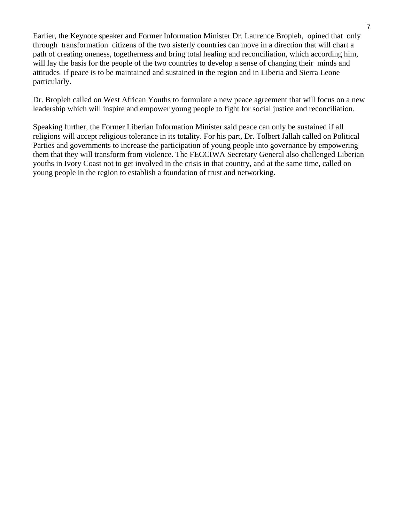Earlier, the Keynote speaker and Former Information Minister Dr. Laurence Bropleh, opined that only through transformation citizens of the two sisterly countries can move in a direction that will chart a path of creating oneness, togetherness and bring total healing and reconciliation, which according him, will lay the basis for the people of the two countries to develop a sense of changing their minds and attitudes if peace is to be maintained and sustained in the region and in Liberia and Sierra Leone particularly.

Dr. Bropleh called on West African Youths to formulate a new peace agreement that will focus on a new leadership which will inspire and empower young people to fight for social justice and reconciliation.

Speaking further, the Former Liberian Information Minister said peace can only be sustained if all religions will accept religious tolerance in its totality. For his part, Dr. Tolbert Jallah called on Political Parties and governments to increase the participation of young people into governance by empowering them that they will transform from violence. The FECCIWA Secretary General also challenged Liberian youths in Ivory Coast not to get involved in the crisis in that country, and at the same time, called on young people in the region to establish a foundation of trust and networking.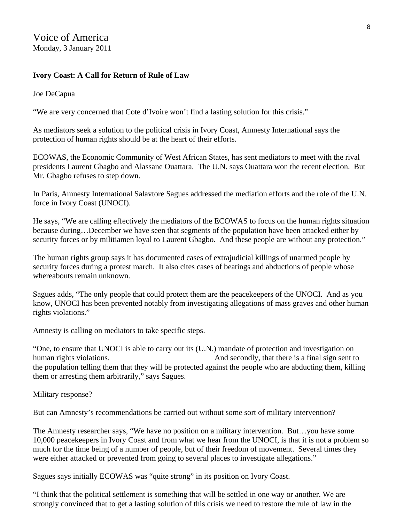Voice of America Monday, 3 January 2011

#### **Ivory Coast: A Call for Return of Rule of Law**

Joe DeCapua

"We are very concerned that Cote d'Ivoire won't find a lasting solution for this crisis."

As mediators seek a solution to the political crisis in Ivory Coast, Amnesty International says the protection of human rights should be at the heart of their efforts.

ECOWAS, the Economic Community of West African States, has sent mediators to meet with the rival presidents Laurent Gbagbo and Alassane Ouattara. The U.N. says Ouattara won the recent election. But Mr. Gbagbo refuses to step down.

In Paris, Amnesty International Salavtore Sagues addressed the mediation efforts and the role of the U.N. force in Ivory Coast (UNOCI).

He says, "We are calling effectively the mediators of the ECOWAS to focus on the human rights situation because during…December we have seen that segments of the population have been attacked either by security forces or by militiamen loyal to Laurent Gbagbo. And these people are without any protection."

The human rights group says it has documented cases of extrajudicial killings of unarmed people by security forces during a protest march. It also cites cases of beatings and abductions of people whose whereabouts remain unknown.

Sagues adds, "The only people that could protect them are the peacekeepers of the UNOCI. And as you know, UNOCI has been prevented notably from investigating allegations of mass graves and other human rights violations."

Amnesty is calling on mediators to take specific steps.

"One, to ensure that UNOCI is able to carry out its (U.N.) mandate of protection and investigation on human rights violations. And secondly, that there is a final sign sent to the population telling them that they will be protected against the people who are abducting them, killing them or arresting them arbitrarily," says Sagues.

Military response?

But can Amnesty's recommendations be carried out without some sort of military intervention?

The Amnesty researcher says, "We have no position on a military intervention. But…you have some 10,000 peacekeepers in Ivory Coast and from what we hear from the UNOCI, is that it is not a problem so much for the time being of a number of people, but of their freedom of movement. Several times they were either attacked or prevented from going to several places to investigate allegations."

Sagues says initially ECOWAS was "quite strong" in its position on Ivory Coast.

"I think that the political settlement is something that will be settled in one way or another. We are strongly convinced that to get a lasting solution of this crisis we need to restore the rule of law in the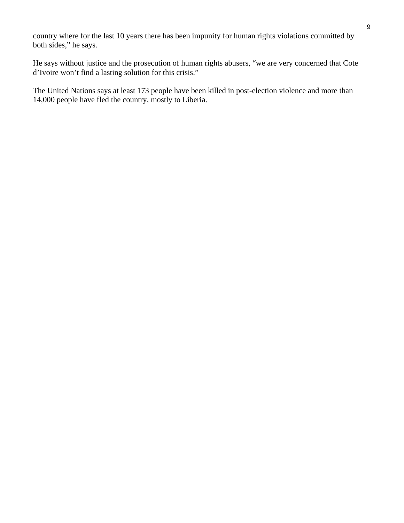country where for the last 10 years there has been impunity for human rights violations committed by both sides," he says.

He says without justice and the prosecution of human rights abusers, "we are very concerned that Cote d'Ivoire won't find a lasting solution for this crisis."

The United Nations says at least 173 people have been killed in post-election violence and more than 14,000 people have fled the country, mostly to Liberia.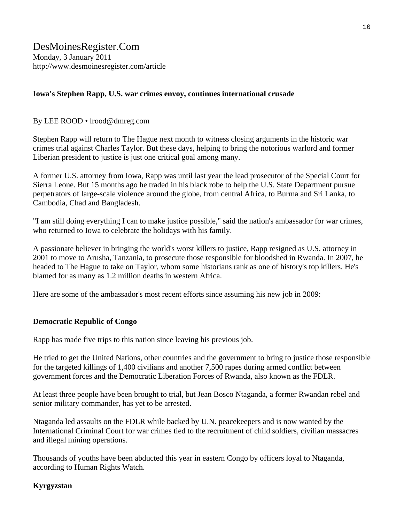#### **Iowa's Stephen Rapp, U.S. war crimes envoy, continues international crusade**

#### By LEE ROOD • lrood@dmreg.com

Stephen Rapp will return to The Hague next month to witness closing arguments in the historic war crimes trial against Charles Taylor. But these days, helping to bring the notorious warlord and former Liberian president to justice is just one critical goal among many.

A former U.S. attorney from Iowa, Rapp was until last year the lead prosecutor of the Special Court for Sierra Leone. But 15 months ago he traded in his black robe to help the U.S. State Department pursue perpetrators of large-scale violence around the globe, from central Africa, to Burma and Sri Lanka, to Cambodia, Chad and Bangladesh.

"I am still doing everything I can to make justice possible," said the nation's ambassador for war crimes, who returned to Iowa to celebrate the holidays with his family.

A passionate believer in bringing the world's worst killers to justice, Rapp resigned as U.S. attorney in 2001 to move to Arusha, Tanzania, to prosecute those responsible for bloodshed in Rwanda. In 2007, he headed to The Hague to take on Taylor, whom some historians rank as one of history's top killers. He's blamed for as many as 1.2 million deaths in western Africa.

Here are some of the ambassador's most recent efforts since assuming his new job in 2009:

#### **Democratic Republic of Congo**

Rapp has made five trips to this nation since leaving his previous job.

He tried to get the United Nations, other countries and the government to bring to justice those responsible for the targeted killings of 1,400 civilians and another 7,500 rapes during armed conflict between government forces and the Democratic Liberation Forces of Rwanda, also known as the FDLR.

At least three people have been brought to trial, but Jean Bosco Ntaganda, a former Rwandan rebel and senior military commander, has yet to be arrested.

Ntaganda led assaults on the FDLR while backed by U.N. peacekeepers and is now wanted by the International Criminal Court for war crimes tied to the recruitment of child soldiers, civilian massacres and illegal mining operations.

Thousands of youths have been abducted this year in eastern Congo by officers loyal to Ntaganda, according to Human Rights Watch.

#### **Kyrgyzstan**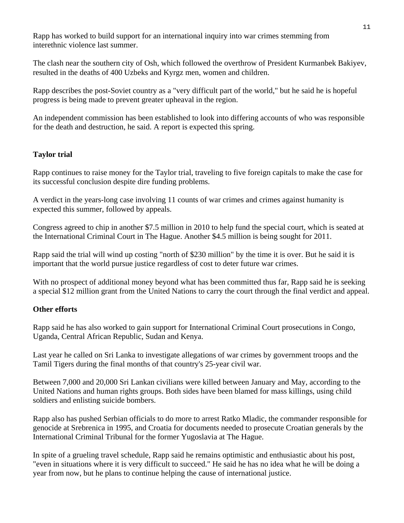Rapp has worked to build support for an international inquiry into war crimes stemming from interethnic violence last summer.

The clash near the southern city of Osh, which followed the overthrow of President Kurmanbek Bakiyev, resulted in the deaths of 400 Uzbeks and Kyrgz men, women and children.

Rapp describes the post-Soviet country as a "very difficult part of the world," but he said he is hopeful progress is being made to prevent greater upheaval in the region.

An independent commission has been established to look into differing accounts of who was responsible for the death and destruction, he said. A report is expected this spring.

## **Taylor trial**

Rapp continues to raise money for the Taylor trial, traveling to five foreign capitals to make the case for its successful conclusion despite dire funding problems.

A verdict in the years-long case involving 11 counts of war crimes and crimes against humanity is expected this summer, followed by appeals.

Congress agreed to chip in another \$7.5 million in 2010 to help fund the special court, which is seated at the International Criminal Court in The Hague. Another \$4.5 million is being sought for 2011.

Rapp said the trial will wind up costing "north of \$230 million" by the time it is over. But he said it is important that the world pursue justice regardless of cost to deter future war crimes.

With no prospect of additional money beyond what has been committed thus far, Rapp said he is seeking a special \$12 million grant from the United Nations to carry the court through the final verdict and appeal.

#### **Other efforts**

Rapp said he has also worked to gain support for International Criminal Court prosecutions in Congo, Uganda, Central African Republic, Sudan and Kenya.

Last year he called on Sri Lanka to investigate allegations of war crimes by government troops and the Tamil Tigers during the final months of that country's 25-year civil war.

Between 7,000 and 20,000 Sri Lankan civilians were killed between January and May, according to the United Nations and human rights groups. Both sides have been blamed for mass killings, using child soldiers and enlisting suicide bombers.

Rapp also has pushed Serbian officials to do more to arrest Ratko Mladic, the commander responsible for genocide at Srebrenica in 1995, and Croatia for documents needed to prosecute Croatian generals by the International Criminal Tribunal for the former Yugoslavia at The Hague.

In spite of a grueling travel schedule, Rapp said he remains optimistic and enthusiastic about his post, "even in situations where it is very difficult to succeed." He said he has no idea what he will be doing a year from now, but he plans to continue helping the cause of international justice.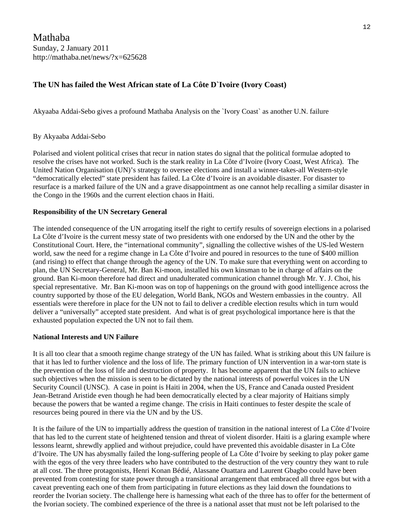Mathaba Sunday, 2 January 2011 http://mathaba.net/news/?x=625628

#### **The UN has failed the West African state of La Côte D`Ivoire (Ivory Coast)**

Akyaaba Addai-Sebo gives a profound Mathaba Analysis on the `Ivory Coast` as another U.N. failure

#### By Akyaaba Addai-Sebo

Polarised and violent political crises that recur in nation states do signal that the political formulae adopted to resolve the crises have not worked. Such is the stark reality in La Côte d'Ivoire (Ivory Coast, West Africa). The United Nation Organisation (UN)'s strategy to oversee elections and install a winner-takes-all Western-style "democratically elected" state president has failed. La Côte d'Ivoire is an avoidable disaster. For disaster to resurface is a marked failure of the UN and a grave disappointment as one cannot help recalling a similar disaster in the Congo in the 1960s and the current election chaos in Haiti.

#### **Responsibility of the UN Secretary General**

The intended consequence of the UN arrogating itself the right to certify results of sovereign elections in a polarised La Côte d'Ivoire is the current messy state of two presidents with one endorsed by the UN and the other by the Constitutional Court. Here, the "international community", signalling the collective wishes of the US-led Western world, saw the need for a regime change in La Côte d'Ivoire and poured in resources to the tune of \$400 million (and rising) to effect that change through the agency of the UN. To make sure that everything went on according to plan, the UN Secretary-General, Mr. Ban Ki-moon, installed his own kinsman to be in charge of affairs on the ground. Ban Ki-moon therefore had direct and unadulterated communication channel through Mr. Y. J. Choi, his special representative. Mr. Ban Ki-moon was on top of happenings on the ground with good intelligence across the country supported by those of the EU delegation, World Bank, NGOs and Western embassies in the country. All essentials were therefore in place for the UN not to fail to deliver a credible election results which in turn would deliver a "universally" accepted state president. And what is of great psychological importance here is that the exhausted population expected the UN not to fail them.

#### **National Interests and UN Failure**

It is all too clear that a smooth regime change strategy of the UN has failed. What is striking about this UN failure is that it has led to further violence and the loss of life. The primary function of UN intervention in a war-torn state is the prevention of the loss of life and destruction of property. It has become apparent that the UN fails to achieve such objectives when the mission is seen to be dictated by the national interests of powerful voices in the UN Security Council (UNSC). A case in point is Haiti in 2004, when the US, France and Canada ousted President Jean-Betrand Aristide even though he had been democratically elected by a clear majority of Haitians simply because the powers that be wanted a regime change. The crisis in Haiti continues to fester despite the scale of resources being poured in there via the UN and by the US.

It is the failure of the UN to impartially address the question of transition in the national interest of La Côte d'Ivoire that has led to the current state of heightened tension and threat of violent disorder. Haiti is a glaring example where lessons learnt, shrewdly applied and without prejudice, could have prevented this avoidable disaster in La Côte d'Ivoire. The UN has abysmally failed the long-suffering people of La Côte d'Ivoire by seeking to play poker game with the egos of the very three leaders who have contributed to the destruction of the very country they want to rule at all cost. The three protagonists, Henri Konan Bédié, Alassane Ouattara and Laurent Gbagbo could have been prevented from contesting for state power through a transitional arrangement that embraced all three egos but with a caveat preventing each one of them from participating in future elections as they laid down the foundations to reorder the Ivorian society. The challenge here is harnessing what each of the three has to offer for the betterment of the Ivorian society. The combined experience of the three is a national asset that must not be left polarised to the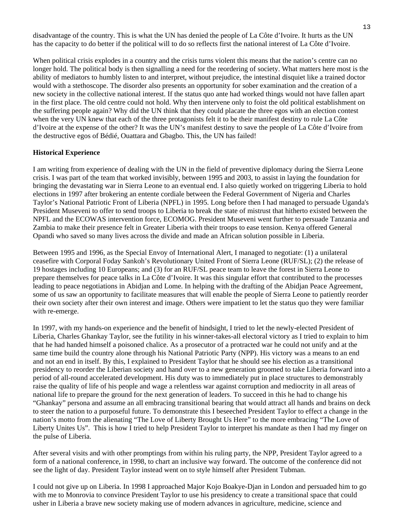disadvantage of the country. This is what the UN has denied the people of La Côte d'Ivoire. It hurts as the UN has the capacity to do better if the political will to do so reflects first the national interest of La Côte d'Ivoire.

When political crisis explodes in a country and the crisis turns violent this means that the nation's centre can no longer hold. The political body is then signalling a need for the reordering of society. What matters here most is the ability of mediators to humbly listen to and interpret, without prejudice, the intestinal disquiet like a trained doctor would with a stethoscope. The disorder also presents an opportunity for sober examination and the creation of a new society in the collective national interest. If the status quo ante had worked things would not have fallen apart in the first place. The old centre could not hold. Why then intervene only to foist the old political establishment on the suffering people again? Why did the UN think that they could placate the three egos with an election contest when the very UN knew that each of the three protagonists felt it to be their manifest destiny to rule La Côte d'Ivoire at the expense of the other? It was the UN's manifest destiny to save the people of La Côte d'Ivoire from the destructive egos of Bédié, Ouattara and Gbagbo. This, the UN has failed!

#### **Historical Experience**

I am writing from experience of dealing with the UN in the field of preventive diplomacy during the Sierra Leone crisis. I was part of the team that worked invisibly, between 1995 and 2003, to assist in laying the foundation for bringing the devastating war in Sierra Leone to an eventual end. I also quietly worked on triggering Liberia to hold elections in 1997 after brokering an entente cordiale between the Federal Government of Nigeria and Charles Taylor's National Patriotic Front of Liberia (NPFL) in 1995. Long before then I had managed to persuade Uganda's President Museveni to offer to send troops to Liberia to break the state of mistrust that hitherto existed between the NPFL and the ECOWAS intervention force, ECOMOG. President Museveni went further to persuade Tanzania and Zambia to make their presence felt in Greater Liberia with their troops to ease tension. Kenya offered General Opandi who saved so many lives across the divide and made an African solution possible in Liberia.

Between 1995 and 1996, as the Special Envoy of International Alert, I managed to negotiate: (1) a unilateral ceasefire with Corporal Foday Sankoh's Revolutionary United Front of Sierra Leone (RUF/SL); (2) the release of 19 hostages including 10 Europeans; and (3) for an RUF/SL peace team to leave the forest in Sierra Leone to prepare themselves for peace talks in La Côte d'Ivoire. It was this singular effort that contributed to the processes leading to peace negotiations in Abidjan and Lome. In helping with the drafting of the Abidjan Peace Agreement, some of us saw an opportunity to facilitate measures that will enable the people of Sierra Leone to patiently reorder their own society after their own interest and image. Others were impatient to let the status quo they were familiar with re-emerge.

In 1997, with my hands-on experience and the benefit of hindsight, I tried to let the newly-elected President of Liberia, Charles Ghankay Taylor, see the futility in his winner-takes-all electoral victory as I tried to explain to him that he had handed himself a poisoned chalice. As a prosecutor of a protracted war he could not unify and at the same time build the country alone through his National Patriotic Party (NPP). His victory was a means to an end and not an end in itself. By this, I explained to President Taylor that he should see his election as a transitional presidency to reorder the Liberian society and hand over to a new generation groomed to take Liberia forward into a period of all-round accelerated development. His duty was to immediately put in place structures to demonstrably raise the quality of life of his people and wage a relentless war against corruption and mediocrity in all areas of national life to prepare the ground for the next generation of leaders. To succeed in this he had to change his "Ghankay" persona and assume an all embracing transitional bearing that would attract all hands and brains on deck to steer the nation to a purposeful future. To demonstrate this I beseeched President Taylor to effect a change in the nation's motto from the alienating "The Love of Liberty Brought Us Here" to the more embracing "The Love of Liberty Unites Us". This is how I tried to help President Taylor to interpret his mandate as then I had my finger on the pulse of Liberia.

After several visits and with other promptings from within his ruling party, the NPP, President Taylor agreed to a form of a national conference, in 1998, to chart an inclusive way forward. The outcome of the conference did not see the light of day. President Taylor instead went on to style himself after President Tubman.

I could not give up on Liberia. In 1998 I approached Major Kojo Boakye-Djan in London and persuaded him to go with me to Monrovia to convince President Taylor to use his presidency to create a transitional space that could usher in Liberia a brave new society making use of modern advances in agriculture, medicine, science and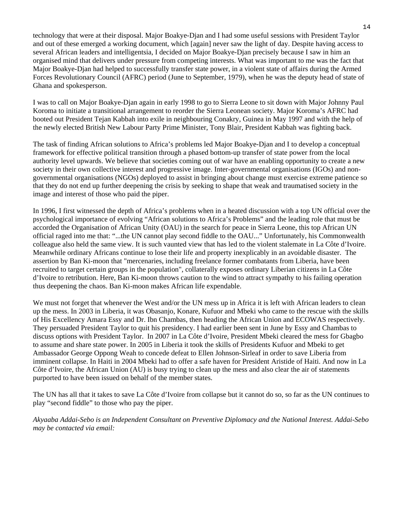technology that were at their disposal. Major Boakye-Djan and I had some useful sessions with President Taylor and out of these emerged a working document, which [again] never saw the light of day. Despite having access to several African leaders and intelligentsia, I decided on Major Boakye-Djan precisely because I saw in him an organised mind that delivers under pressure from competing interests. What was important to me was the fact that Major Boakye-Djan had helped to successfully transfer state power, in a violent state of affairs during the Armed Forces Revolutionary Council (AFRC) period (June to September, 1979), when he was the deputy head of state of Ghana and spokesperson.

I was to call on Major Boakye-Djan again in early 1998 to go to Sierra Leone to sit down with Major Johnny Paul Koroma to initiate a transitional arrangement to reorder the Sierra Leonean society. Major Koroma's AFRC had booted out President Tejan Kabbah into exile in neighbouring Conakry, Guinea in May 1997 and with the help of the newly elected British New Labour Party Prime Minister, Tony Blair, President Kabbah was fighting back.

The task of finding African solutions to Africa's problems led Major Boakye-Djan and I to develop a conceptual framework for effective political transition through a phased bottom-up transfer of state power from the local authority level upwards. We believe that societies coming out of war have an enabling opportunity to create a new society in their own collective interest and progressive image. Inter-governmental organisations (IGOs) and nongovernmental organisations (NGOs) deployed to assist in bringing about change must exercise extreme patience so that they do not end up further deepening the crisis by seeking to shape that weak and traumatised society in the image and interest of those who paid the piper.

In 1996, I first witnessed the depth of Africa's problems when in a heated discussion with a top UN official over the psychological importance of evolving "African solutions to Africa's Problems" and the leading role that must be accorded the Organisation of African Unity (OAU) in the search for peace in Sierra Leone, this top African UN official raged into me that: "...the UN cannot play second fiddle to the OAU..." Unfortunately, his Commonwealth colleague also held the same view. It is such vaunted view that has led to the violent stalemate in La Côte d'Ivoire. Meanwhile ordinary Africans continue to lose their life and property inexplicably in an avoidable disaster. The assertion by Ban Ki-moon that "mercenaries, including freelance former combatants from Liberia, have been recruited to target certain groups in the population", collaterally exposes ordinary Liberian citizens in La Côte d'Ivoire to retribution. Here, Ban Ki-moon throws caution to the wind to attract sympathy to his failing operation thus deepening the chaos. Ban Ki-moon makes African life expendable.

We must not forget that whenever the West and/or the UN mess up in Africa it is left with African leaders to clean up the mess. In 2003 in Liberia, it was Obasanjo, Konare, Kufuor and Mbeki who came to the rescue with the skills of His Excellency Amara Essy and Dr. Ibn Chambas, then heading the African Union and ECOWAS respectively. They persuaded President Taylor to quit his presidency. I had earlier been sent in June by Essy and Chambas to discuss options with President Taylor. In 2007 in La Côte d'Ivoire, President Mbeki cleared the mess for Gbagbo to assume and share state power. In 2005 in Liberia it took the skills of Presidents Kufuor and Mbeki to get Ambassador George Oppong Weah to concede defeat to Ellen Johnson-Sirleaf in order to save Liberia from imminent collapse. In Haiti in 2004 Mbeki had to offer a safe haven for President Aristide of Haiti. And now in La Côte d'Ivoire, the African Union (AU) is busy trying to clean up the mess and also clear the air of statements purported to have been issued on behalf of the member states.

The UN has all that it takes to save La Côte d'Ivoire from collapse but it cannot do so, so far as the UN continues to play "second fiddle" to those who pay the piper.

*Akyaaba Addai-Sebo is an Independent Consultant on Preventive Diplomacy and the National Interest. Addai-Sebo may be contacted via email:*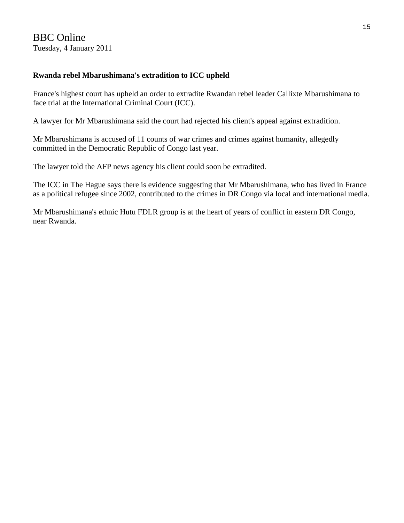## BBC Online Tuesday, 4 January 2011

## **Rwanda rebel Mbarushimana's extradition to ICC upheld**

France's highest court has upheld an order to extradite Rwandan rebel leader Callixte Mbarushimana to face trial at the International Criminal Court (ICC).

A lawyer for Mr Mbarushimana said the court had rejected his client's appeal against extradition.

Mr Mbarushimana is accused of 11 counts of war crimes and crimes against humanity, allegedly committed in the Democratic Republic of Congo last year.

The lawyer told the AFP news agency his client could soon be extradited.

The ICC in The Hague says there is evidence suggesting that Mr Mbarushimana, who has lived in France as a political refugee since 2002, contributed to the crimes in DR Congo via local and international media.

Mr Mbarushimana's ethnic Hutu FDLR group is at the heart of years of conflict in eastern DR Congo, near Rwanda.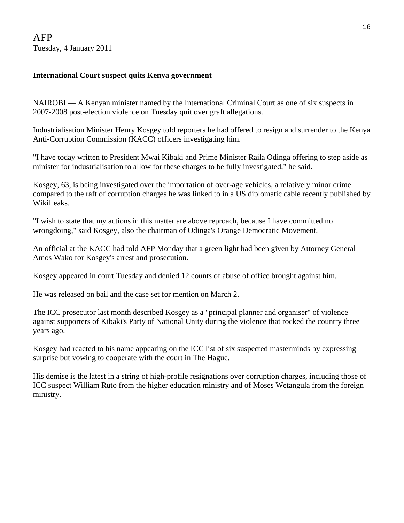## **International Court suspect quits Kenya government**

NAIROBI — A Kenyan minister named by the International Criminal Court as one of six suspects in 2007-2008 post-election violence on Tuesday quit over graft allegations.

Industrialisation Minister Henry Kosgey told reporters he had offered to resign and surrender to the Kenya Anti-Corruption Commission (KACC) officers investigating him.

"I have today written to President Mwai Kibaki and Prime Minister Raila Odinga offering to step aside as minister for industrialisation to allow for these charges to be fully investigated," he said.

Kosgey, 63, is being investigated over the importation of over-age vehicles, a relatively minor crime compared to the raft of corruption charges he was linked to in a US diplomatic cable recently published by WikiLeaks.

"I wish to state that my actions in this matter are above reproach, because I have committed no wrongdoing," said Kosgey, also the chairman of Odinga's Orange Democratic Movement.

An official at the KACC had told AFP Monday that a green light had been given by Attorney General Amos Wako for Kosgey's arrest and prosecution.

Kosgey appeared in court Tuesday and denied 12 counts of abuse of office brought against him.

He was released on bail and the case set for mention on March 2.

The ICC prosecutor last month described Kosgey as a "principal planner and organiser" of violence against supporters of Kibaki's Party of National Unity during the violence that rocked the country three years ago.

Kosgey had reacted to his name appearing on the ICC list of six suspected masterminds by expressing surprise but vowing to cooperate with the court in The Hague.

His demise is the latest in a string of high-profile resignations over corruption charges, including those of ICC suspect William Ruto from the higher education ministry and of Moses Wetangula from the foreign ministry.